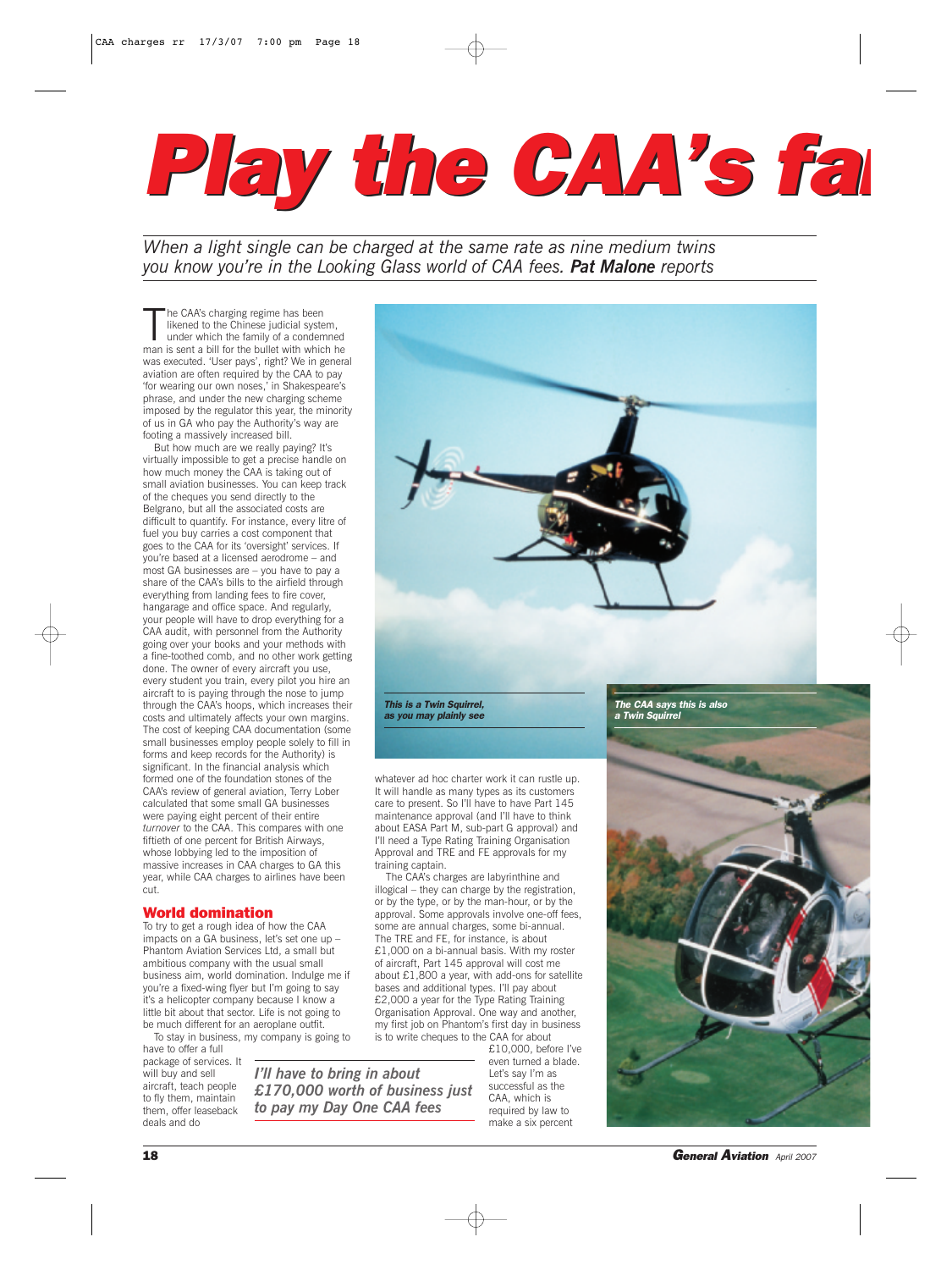## *Play the CAA's fan Play the CAA's fan*

*When a light single can be charged at the same rate as nine medium twins you know you're in the Looking Glass world of CAA fees. Pat Malone reports*

The CAA's charging regime has been<br>likened to the Chinese judicial system,<br>under which the family of a condemned<br>man is sent a bill for the bullet with which he he CAA's charging regime has been likened to the Chinese judicial system, under which the family of a condemned was executed. 'User pays', right? We in general aviation are often required by the CAA to pay 'for wearing our own noses,' in Shakespeare's phrase, and under the new charging scheme imposed by the regulator this year, the minority of us in GA who pay the Authority's way are footing a massively increased bill.

But how much are we really paying? It's virtually impossible to get a precise handle on how much money the CAA is taking out of small aviation businesses. You can keep track of the cheques you send directly to the Belgrano, but all the associated costs are difficult to quantify. For instance, every litre of fuel you buy carries a cost component that goes to the CAA for its 'oversight' services. If you're based at a licensed aerodrome – and most GA businesses are – you have to pay a share of the CAA's bills to the airfield through everything from landing fees to fire cover, hangarage and office space. And regularly, your people will have to drop everything for a CAA audit, with personnel from the Authority going over your books and your methods with a fine-toothed comb, and no other work getting done. The owner of every aircraft you use, every student you train, every pilot you hire an aircraft to is paying through the nose to jump through the CAA's hoops, which increases their costs and ultimately affects your own margins. The cost of keeping CAA documentation (some small businesses employ people solely to fill in forms and keep records for the Authority) is significant. In the financial analysis which formed one of the foundation stones of the CAA's review of general aviation, Terry Lober calculated that some small GA businesses were paying eight percent of their entire *turnover* to the CAA. This compares with one fiftieth of one percent for British Airways, whose lobbying led to the imposition of massive increases in CAA charges to GA this year, while CAA charges to airlines have been cut.

## World domination

To try to get a rough idea of how the CAA impacts on a GA business, let's set one up Phantom Aviation Services Ltd, a small but ambitious company with the usual small business aim, world domination. Indulge me if you're a fixed-wing flyer but I'm going to say it's a helicopter company because I know a little bit about that sector. Life is not going to be much different for an aeroplane outfit. To stay in business, my company is going to

have to offer a full package of services. It will buy and sell aircraft, teach people to fly them, maintain them, offer leaseback



*This is a Twin Squirrel, as you may plainly see*

whatever ad hoc charter work it can rustle up. It will handle as many types as its customers care to present. So I'll have to have Part 145 maintenance approval (and I'll have to think about EASA Part M, sub-part G approval) and I'll need a Type Rating Training Organisation Approval and TRE and FE approvals for my training captain.

The CAA's charges are labyrinthine and illogical – they can charge by the registration, or by the type, or by the man-hour, or by the approval. Some approvals involve one-off fees, some are annual charges, some bi-annual. The TRE and FE, for instance, is about £1,000 on a bi-annual basis. With my roster of aircraft, Part 145 approval will cost me about £1,800 a year, with add-ons for satellite bases and additional types. I'll pay about £2,000 a year for the Type Rating Training Organisation Approval. One way and another, my first job on Phantom's first day in business is to write cheques to the CAA for about

*I'll have to bring in about £170,000 worth of business just to pay my Day One CAA fees*

£10,000, before I've even turned a blade. Let's say I'm as successful as the CAA, which is required by law to make a six percent

## *The CAA says this is also a Twin Squirrel*

18 *General Aviation April 2007*

deals and do